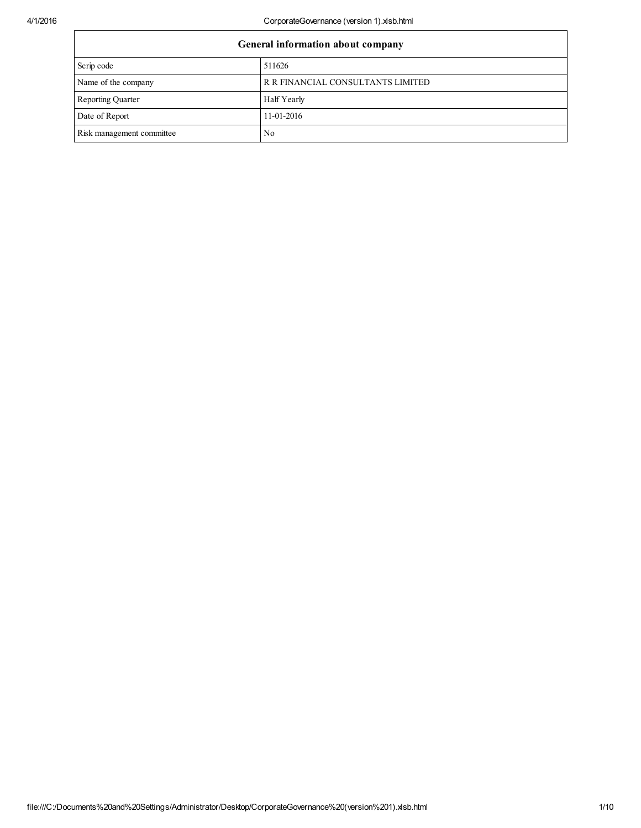| General information about company |                                   |  |  |
|-----------------------------------|-----------------------------------|--|--|
| Scrip code                        | 511626                            |  |  |
| Name of the company               | R R FINANCIAL CONSULTANTS LIMITED |  |  |
| <b>Reporting Quarter</b>          | Half Yearly                       |  |  |
| Date of Report                    | 11-01-2016                        |  |  |
| Risk management committee         | No                                |  |  |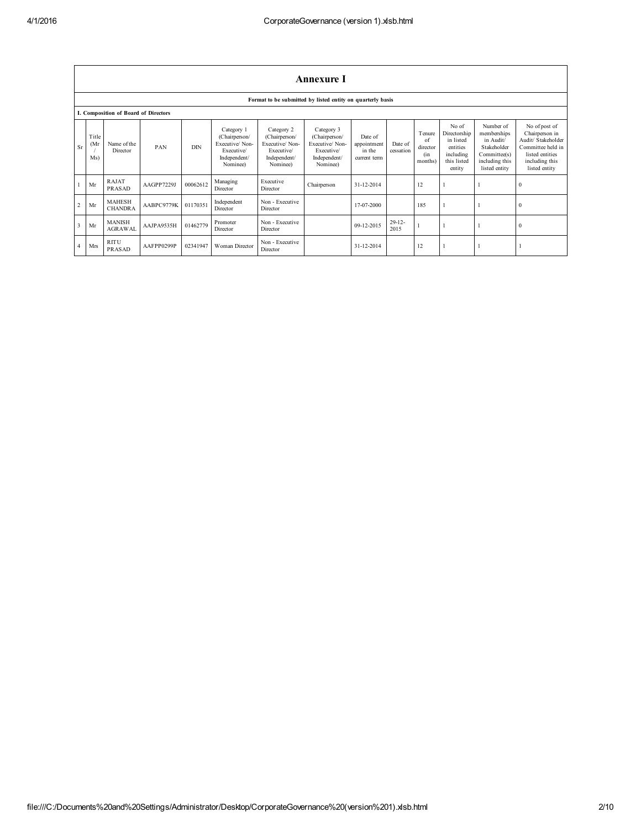|                         | Annexure I                                                 |                                      |            |            |                                                                                         |                                                                                         |                                                                                         |                                                  |                      |                                                    |                                                                                      |                                                                                                         |                                                                                                                                  |
|-------------------------|------------------------------------------------------------|--------------------------------------|------------|------------|-----------------------------------------------------------------------------------------|-----------------------------------------------------------------------------------------|-----------------------------------------------------------------------------------------|--------------------------------------------------|----------------------|----------------------------------------------------|--------------------------------------------------------------------------------------|---------------------------------------------------------------------------------------------------------|----------------------------------------------------------------------------------------------------------------------------------|
|                         | Format to be submitted by listed entity on quarterly basis |                                      |            |            |                                                                                         |                                                                                         |                                                                                         |                                                  |                      |                                                    |                                                                                      |                                                                                                         |                                                                                                                                  |
|                         |                                                            | I. Composition of Board of Directors |            |            |                                                                                         |                                                                                         |                                                                                         |                                                  |                      |                                                    |                                                                                      |                                                                                                         |                                                                                                                                  |
| Sr                      | Title<br>(Mr)<br>Ms)                                       | Name of the<br>Director              | PAN        | <b>DIN</b> | Category 1<br>(Chairperson/<br>Executive/Non-<br>Executive/<br>Independent/<br>Nominee) | Category 2<br>(Chairperson/<br>Executive/Non-<br>Executive/<br>Independent/<br>Nominee) | Category 3<br>(Chairperson/<br>Executive/Non-<br>Executive/<br>Independent/<br>Nominee) | Date of<br>appointment<br>in the<br>current term | Date of<br>cessation | <b>T</b> enure<br>of<br>director<br>(in<br>months) | No of<br>Directorship<br>in listed<br>entities<br>including<br>this listed<br>entity | Number of<br>memberships<br>in Audit/<br>Stakeholder<br>Committee(s)<br>including this<br>listed entity | No of post of<br>Chairperson in<br>Audit/ Stakeholder<br>Committee held in<br>listed entities<br>including this<br>listed entity |
|                         | Mr                                                         | <b>RAJAT</b><br><b>PRASAD</b>        | AAGPP7229J | 00062612   | Managing<br>Director                                                                    | Executive<br>Director                                                                   | Chairperson                                                                             | 31-12-2014                                       |                      | 12                                                 |                                                                                      |                                                                                                         | $\theta$                                                                                                                         |
| $\overline{c}$          | Mr                                                         | <b>MAHESH</b><br><b>CHANDRA</b>      | AABPC9779K | 01170351   | Independent<br>Director                                                                 | Non - Executive<br>Director                                                             |                                                                                         | 17-07-2000                                       |                      | 185                                                |                                                                                      |                                                                                                         | $\theta$                                                                                                                         |
| $\overline{\mathbf{3}}$ | Mr                                                         | <b>MANISH</b><br><b>AGRAWAL</b>      | AAJPA9535H | 01462779   | Promoter<br>Director                                                                    | Non - Executive<br>Director                                                             |                                                                                         | 09-12-2015                                       | $29 - 12 -$<br>2015  |                                                    |                                                                                      |                                                                                                         | $\mathbf{0}$                                                                                                                     |
| $\overline{4}$          | Mrs                                                        | <b>RITU</b><br>PRASAD                | AAFPP0299P | 02341947   | Woman Director                                                                          | Non - Executive<br>Director                                                             |                                                                                         | 31-12-2014                                       |                      | 12                                                 |                                                                                      |                                                                                                         |                                                                                                                                  |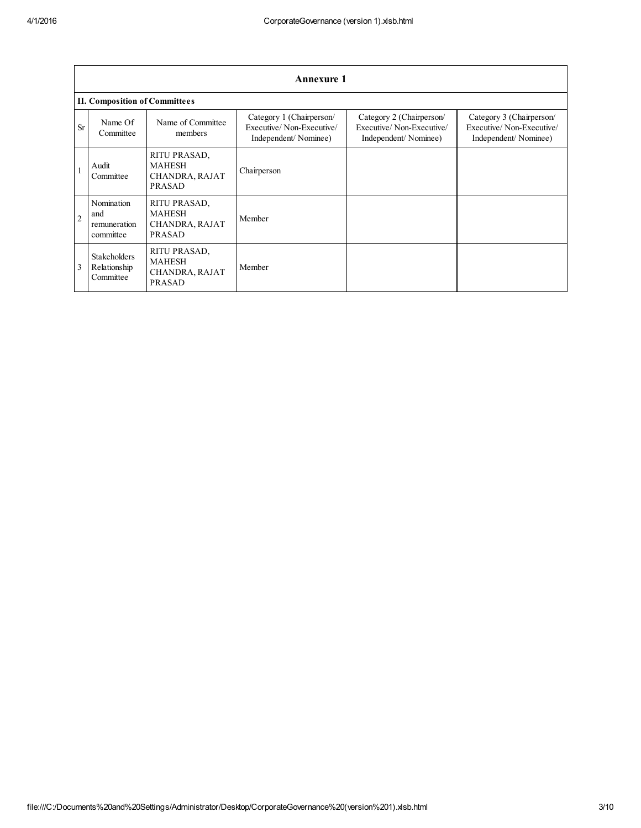|                | <b>Annexure 1</b>                                |                                                                  |                                                                              |                                                                              |                                                                              |  |
|----------------|--------------------------------------------------|------------------------------------------------------------------|------------------------------------------------------------------------------|------------------------------------------------------------------------------|------------------------------------------------------------------------------|--|
|                | <b>II. Composition of Committees</b>             |                                                                  |                                                                              |                                                                              |                                                                              |  |
| <b>Sr</b>      | Name Of<br>Committee                             | Name of Committee<br>members                                     | Category 1 (Chairperson/<br>Executive/Non-Executive/<br>Independent/Nominee) | Category 2 (Chairperson/<br>Executive/Non-Executive/<br>Independent/Nominee) | Category 3 (Chairperson/<br>Executive/Non-Executive/<br>Independent/Nominee) |  |
|                | Audit<br>Committee                               | RITU PRASAD,<br><b>MAHESH</b><br>CHANDRA, RAJAT<br><b>PRASAD</b> | Chairperson                                                                  |                                                                              |                                                                              |  |
| $\overline{2}$ | Nomination<br>and<br>remuneration<br>committee   | RITU PRASAD,<br><b>MAHESH</b><br>CHANDRA, RAJAT<br><b>PRASAD</b> | Member                                                                       |                                                                              |                                                                              |  |
| 3              | <b>Stakeholders</b><br>Relationship<br>Committee | RITU PRASAD,<br><b>MAHESH</b><br>CHANDRA, RAJAT<br><b>PRASAD</b> | Member                                                                       |                                                                              |                                                                              |  |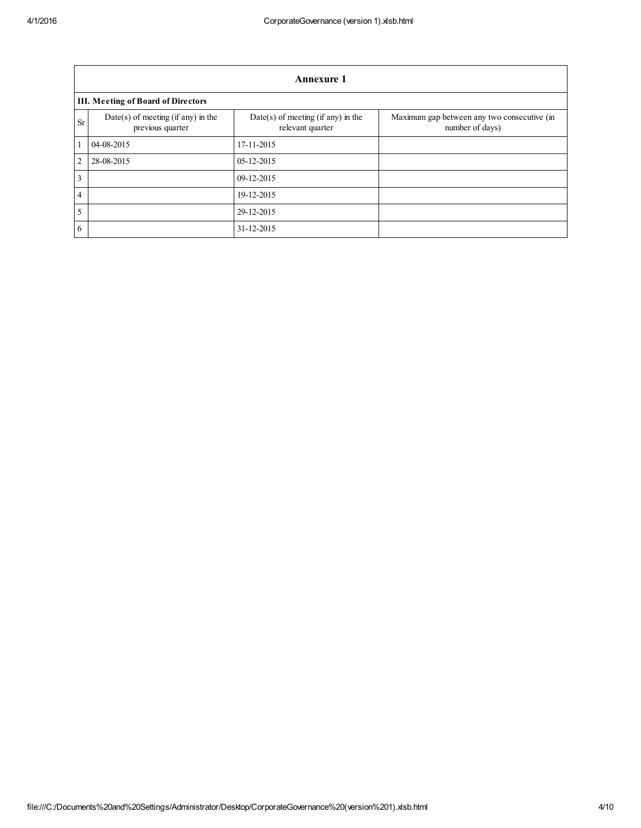|                 | Annexure 1                                             |                                                          |                                                                |  |  |  |  |
|-----------------|--------------------------------------------------------|----------------------------------------------------------|----------------------------------------------------------------|--|--|--|--|
|                 | <b>III. Meeting of Board of Directors</b>              |                                                          |                                                                |  |  |  |  |
| <b>Sr</b>       | Date(s) of meeting (if any) in the<br>previous quarter | $Date(s)$ of meeting (if any) in the<br>relevant quarter | Maximum gap between any two consecutive (in<br>number of days) |  |  |  |  |
| $\mathbf{1}$    | 04-08-2015                                             | 17-11-2015                                               |                                                                |  |  |  |  |
| $\overline{2}$  | 28-08-2015                                             | $05 - 12 - 2015$                                         |                                                                |  |  |  |  |
| $\overline{3}$  |                                                        | 09-12-2015                                               |                                                                |  |  |  |  |
| $\overline{4}$  |                                                        | 19-12-2015                                               |                                                                |  |  |  |  |
| $5\overline{)}$ |                                                        | 29-12-2015                                               |                                                                |  |  |  |  |
| 6               |                                                        | 31-12-2015                                               |                                                                |  |  |  |  |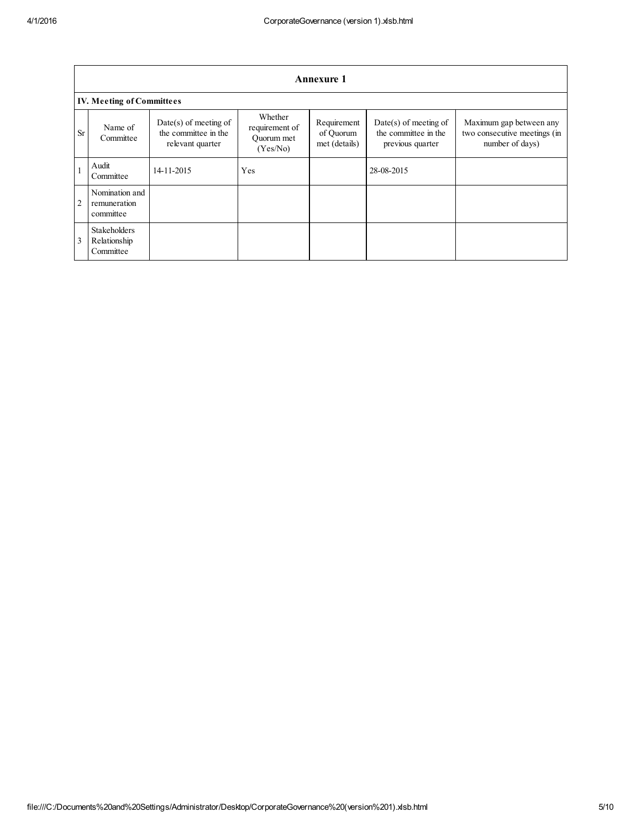|           | <b>Annexure 1</b>                                |                                                                     |                                                     |                                           |                                                                     |                                                                            |  |
|-----------|--------------------------------------------------|---------------------------------------------------------------------|-----------------------------------------------------|-------------------------------------------|---------------------------------------------------------------------|----------------------------------------------------------------------------|--|
|           | <b>IV. Meeting of Committees</b>                 |                                                                     |                                                     |                                           |                                                                     |                                                                            |  |
| <b>Sr</b> | Name of<br>Committee                             | $Date(s)$ of meeting of<br>the committee in the<br>relevant quarter | Whether<br>requirement of<br>Ouorum met<br>(Yes/No) | Requirement<br>of Quorum<br>met (details) | $Date(s)$ of meeting of<br>the committee in the<br>previous quarter | Maximum gap between any<br>two consecutive meetings (in<br>number of days) |  |
|           | Audit<br>Committee                               | 14-11-2015                                                          | Yes                                                 |                                           | 28-08-2015                                                          |                                                                            |  |
| 2         | Nomination and<br>remuneration<br>committee      |                                                                     |                                                     |                                           |                                                                     |                                                                            |  |
| 3         | <b>Stakeholders</b><br>Relationship<br>Committee |                                                                     |                                                     |                                           |                                                                     |                                                                            |  |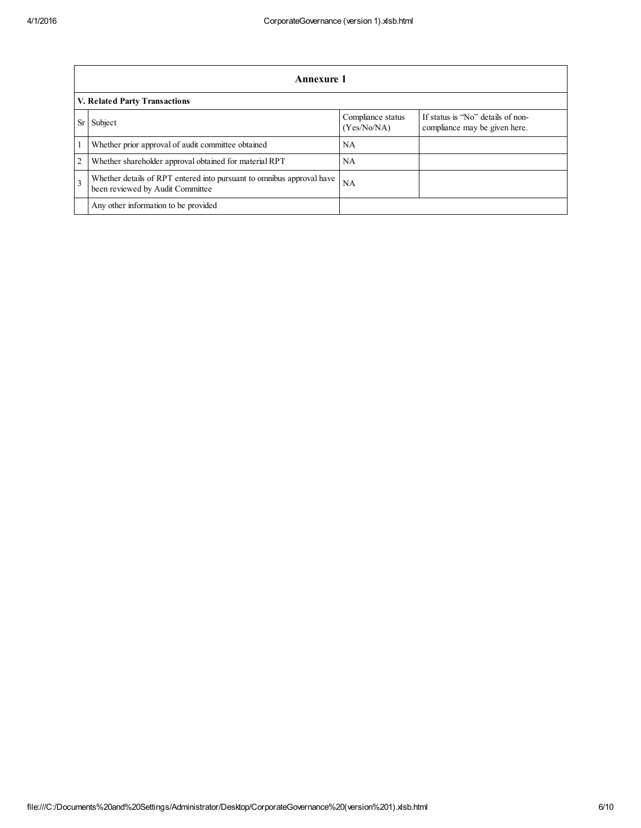|           | Annexure 1                                                                                                |                                  |                                                                    |  |  |  |
|-----------|-----------------------------------------------------------------------------------------------------------|----------------------------------|--------------------------------------------------------------------|--|--|--|
|           | V. Related Party Transactions                                                                             |                                  |                                                                    |  |  |  |
| <b>Sr</b> | Subject                                                                                                   | Compliance status<br>(Yes/No/NA) | If status is "No" details of non-<br>compliance may be given here. |  |  |  |
|           | Whether prior approval of audit committee obtained                                                        | NA                               |                                                                    |  |  |  |
| 2         | Whether shareholder approval obtained for material RPT                                                    | NA                               |                                                                    |  |  |  |
| 3         | Whether details of RPT entered into pursuant to omnibus approval have<br>been reviewed by Audit Committee | NA                               |                                                                    |  |  |  |
|           | Any other information to be provided                                                                      |                                  |                                                                    |  |  |  |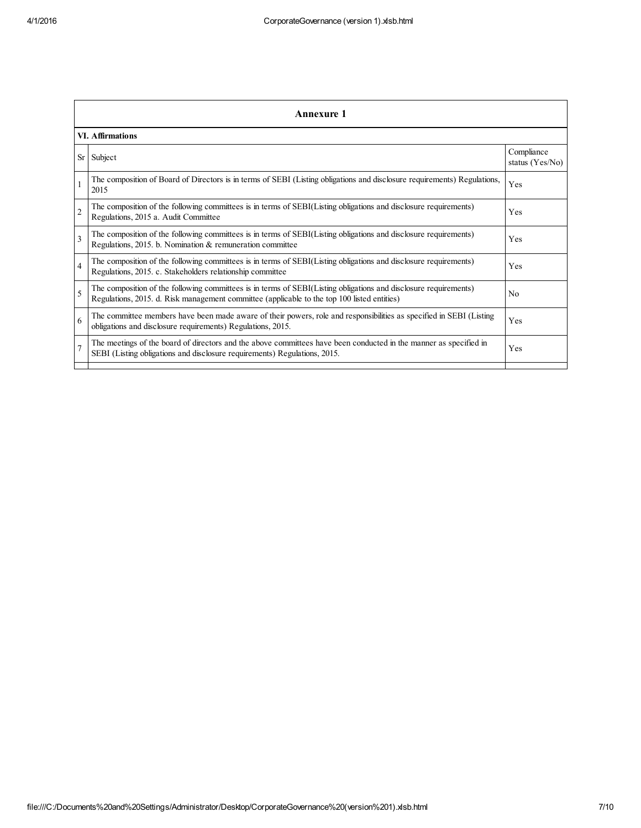|                | Annexure 1                                                                                                                                                                                                      |                               |  |  |
|----------------|-----------------------------------------------------------------------------------------------------------------------------------------------------------------------------------------------------------------|-------------------------------|--|--|
|                | VI. Affirmations                                                                                                                                                                                                |                               |  |  |
| Sr             | Subject                                                                                                                                                                                                         | Compliance<br>status (Yes/No) |  |  |
|                | The composition of Board of Directors is in terms of SEBI (Listing obligations and disclosure requirements) Regulations,<br>2015                                                                                | Yes                           |  |  |
| $\overline{2}$ | The composition of the following committees is in terms of SEBI(Listing obligations and disclosure requirements)<br>Regulations, 2015 a. Audit Committee                                                        | <b>Yes</b>                    |  |  |
| 3              | The composition of the following committees is in terms of SEBI(Listing obligations and disclosure requirements)<br>Regulations, 2015. b. Nomination & remuneration committee                                   | Yes                           |  |  |
| $\overline{4}$ | The composition of the following committees is in terms of SEBI(Listing obligations and disclosure requirements)<br>Regulations, 2015. c. Stakeholders relationship committee                                   | Yes                           |  |  |
| 5              | The composition of the following committees is in terms of SEBI(Listing obligations and disclosure requirements)<br>Regulations, 2015. d. Risk management committee (applicable to the top 100 listed entities) | N <sub>0</sub>                |  |  |
| 6              | The committee members have been made aware of their powers, role and responsibilities as specified in SEBI (Listing<br>obligations and disclosure requirements) Regulations, 2015.                              | Yes                           |  |  |
| $\overline{7}$ | The meetings of the board of directors and the above committees have been conducted in the manner as specified in<br>SEBI (Listing obligations and disclosure requirements) Regulations, 2015.                  | Yes                           |  |  |
|                |                                                                                                                                                                                                                 |                               |  |  |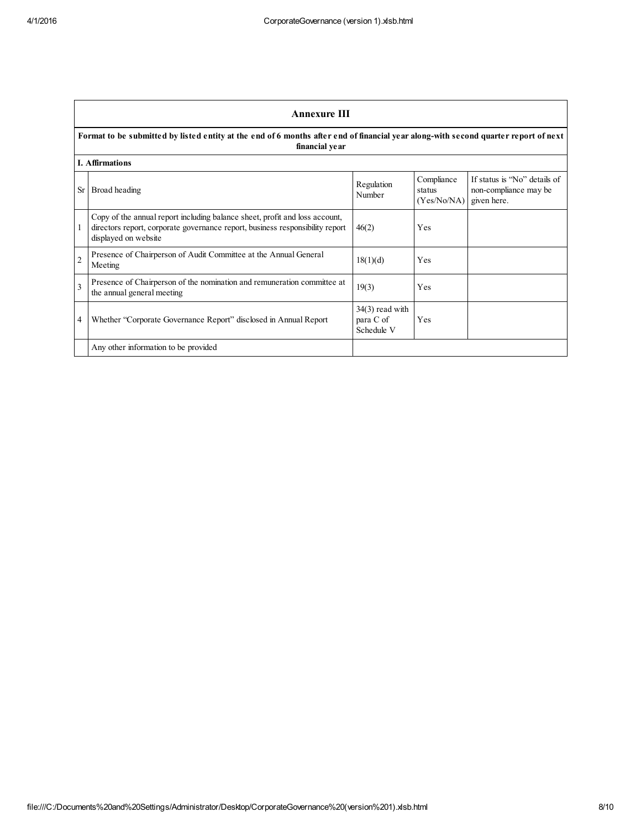|                          | <b>Annexure III</b>                                                                                                                                                                  |                                              |                                     |                                                                      |  |  |
|--------------------------|--------------------------------------------------------------------------------------------------------------------------------------------------------------------------------------|----------------------------------------------|-------------------------------------|----------------------------------------------------------------------|--|--|
|                          | Format to be submitted by listed entity at the end of 6 months after end of financial year along-with second quarter report of next<br>financial year                                |                                              |                                     |                                                                      |  |  |
|                          | <b>I.</b> Affirmations                                                                                                                                                               |                                              |                                     |                                                                      |  |  |
|                          | Sr Broad heading                                                                                                                                                                     | Regulation<br>Number                         | Compliance<br>status<br>(Yes/No/NA) | If status is "No" details of<br>non-compliance may be<br>given here. |  |  |
|                          | Copy of the annual report including balance sheet, profit and loss account,<br>directors report, corporate governance report, business responsibility report<br>displayed on website | 46(2)                                        | Yes                                 |                                                                      |  |  |
| $\sqrt{2}$               | Presence of Chairperson of Audit Committee at the Annual General<br>Meeting                                                                                                          | 18(1)(d)                                     | Yes                                 |                                                                      |  |  |
| $\overline{\mathcal{E}}$ | Presence of Chairperson of the nomination and remuneration committee at<br>the annual general meeting                                                                                | 19(3)                                        | Yes                                 |                                                                      |  |  |
| 4                        | Whether "Corporate Governance Report" disclosed in Annual Report                                                                                                                     | $34(3)$ read with<br>para C of<br>Schedule V | Yes                                 |                                                                      |  |  |
|                          | Any other information to be provided                                                                                                                                                 |                                              |                                     |                                                                      |  |  |